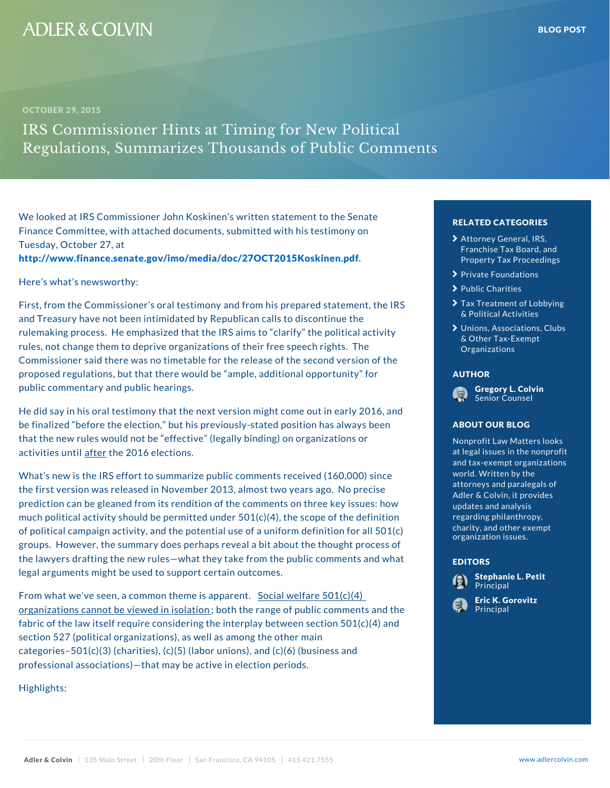## We looked at IRS Commissioner John Koskinen s written Finance Committee, with attached documents, submitted Tuesday, October 27, at

[http://www.finance.senate.gov/imo/media/doc/](�� h t t p : / / w w w . f i n a n c e . s e n a t e . g o v / i m o / m e d i a / d o c / 2 7 O C T 2 0 1 5 K o s k i n e n . p d f)27OCT2015

Here s what s newsworthy:

First, from the Commissioner s oral testimony and from and Treasury have not been intimidated by Republican call  $\frac{d}{dr}$ rulemaking process. He emphasized that the IRS aims t rules, not change them to deprive organizations of their **free organizations There** is Commissioner said there was no timetable for the release the the the second version of the second version of the proposed regulations, but that there would be ample, a **AUTHOR ditional opportunity** of opportunity of the state of the state of the state of the state of the state of the state of the state of the state of the state of public commentary and public hearings.

He did say in his oral testimony that the next version might come out in early 2016, and the state of  $\ell$ be finalized before the election, but his previously-stated ABOUT OUR BLOG ays that the new rules would not be effective (legally bind activities a funtural e 2016 elections.

What s new is the IRS effort to summarize public comme the first version was released in November 2013, almost prediction can be gleaned from its rendition of the comm much political activity should be permitted under  $501(c)$ of political campaign activity, and the potential use of a groups. However, the summary does perhaps reveal a bit about the thought prothe lawyers drafting the new rules what they take from the purpes and what legal arguments might be used to support certain outcom

From what we ve seen, a common S once and ewish fragme a  $5\Theta$ nd  $(c)(4)$ organizations cannot be viewedhinhes o antiponof public comments and the range of public comments are  $\sim$ fabric of the law itself require considering the interplay between section  $(c)$ section 527 (political organizations), as well as among categories 501(c)(3) (charities), (c)(5) (labor unions), and (c)(6) (business and (c)(6) (business and (c)(6) professional associations) that may be active in electio

Highlights:

## RELATED CATEGORIE<sup>at</sup>

- > [Attorney Gene](�� h t t p s : / / w w w . a d l e r c o l v i n . c o m / b l o g / c a t e g o r y / a t t o r n e y - g e n e r a l - i r s - f r a n c h i s e - t a x - b o a r d - a n d - p r o p e r t y - t a x - p r o c e e d i n g s /)ral, IR [Franchise Tax B](�� h t t p s : / / w w w . a d l e r c o l v i n . c o m / b l o g / c a t e g o r y / a t t o r n e y - g e n e r a l - i r s - f r a n c h i s e - t a x - b o a r d - a n d - p r o p e r t y - t a x - p r o c e e d i n g s /)oard [Property Tax Pr](�� h t t p s : / / w w w . a d l e r c o l v i n . c o m / b l o g / c a t e g o r y / a t t o r n e y - g e n e r a l - i r s - f r a n c h i s e - t a x - b o a r d - a n d - p r o p e r t y - t a x - p r o c e e d i n g s /)ocee
- [Private Foun](�� h t t p s : / / w w w . a d l e r c o l v i n . c o m / b l o g / c a t e g o r y / p r i v a t e - f o u n d a t i o n s /)dations
- > [Public Ch](�� h t t p s : / / w w w . a d l e r c o l v i n . c o m / b l o g / c a t e g o r y / p u b l i c - c h a r i t i e s /)arities
- **>** [Tax Treatment of](�� h t t p s : / / w w w . a d l e r c o l v i n . c o m / b l o g / c a t e g o r y / t a x - t r e a t m e n t - o f - l o b b y i n g - p o l i t i c a l - a c t i v i t i e s /) Lo<sub>bt</sub> [& Political A](�� h t t p s : / / w w w . a d l e r c o l v i n . c o m / b l o g / c a t e g o r y / t a x - t r e a t m e n t - o f - l o b b y i n g - p o l i t i c a l - a c t i v i t i e s /)ctivities
- > [Unions, Associat](�� h t t p s : / / w w w . a d l e r c o l v i n . c o m / b l o g / c a t e g o r y / u n i o n s - a s s o c i a t i o n s - c l u b s - o t h e r - t a x - e x e m p t - o r g a n i z a t i o n s /)ions, [& Other Tax-](�� h t t p s : / / w w w . a d l e r c o l v i n . c o m / b l o g / c a t e g o r y / u n i o n s - a s s o c i a t i o n s - c l u b s - o t h e r - t a x - e x e m p t - o r g a n i z a t i o n s /)Exempt Organizations

## AUTHOR



ABOUT OUR BLOG

Nonprofit Law Matters Of at legal issues in the and tax-exempt organ world. Written by the<sub>1</sub> attorneys and paraleg re Adler & Colvin, it pro <mark>updates and analysis <sup>ue</sup></mark> regarding philanthrop de charity, and other  $ex_{\mathbf{r}}$ organization issues.

## EDITORS



[Eric K. Go](�� h t t p s : / / w w w . a d l e r c o l v i n . c o m / e r i c - k - g o r o v i t z /)rovitz Principal